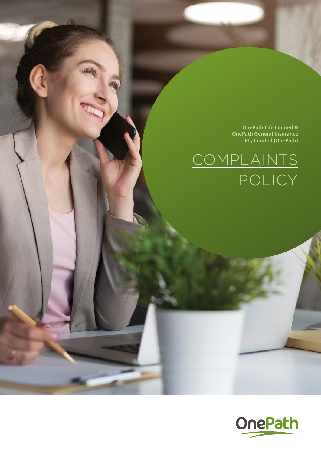**OnePath Life Limited & OnePath General Insurance Pty Limited (OnePath)** 

# COMPLAINTS POLICY

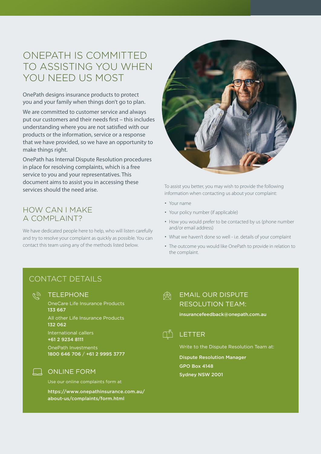# ONEPATH IS COMMITTED TO ASSISTING YOU WHEN YOU NEED US MOST

OnePath designs insurance products to protect you and your family when things don't go to plan.

We are committed to customer service and always put our customers and their needs first – this includes understanding where you are not satisfied with our products or the information, service or a response that we have provided, so we have an opportunity to make things right.

OnePath has Internal Dispute Resolution procedures in place for resolving complaints, which is a free service to you and your representatives. This document aims to assist you in accessing these services should the need arise.

# HOW CAN I MAKE A COMPLAINT?

We have dedicated people here to help, who will listen carefully and try to resolve your complaint as quickly as possible. You can contact this team using any of the methods listed below.



To assist you better, you may wish to provide the following information when contacting us about your complaint:

- Your name
- Your policy number (if applicable)
- How you would prefer to be contacted by us (phone number and/or email address)
- What we haven't done so well i.e. details of your complaint
- The outcome you would like OnePath to provide in relation to the complaint.

# CONTACT DETAILS

**TELEPHONE** 

OneCare Life Insurance Products 133 667

All other Life Insurance Products 132 062

International callers +61 2 9234 8111

OnePath Investments 1800 646 706 / +61 2 9995 3777

### **QUANGE FORM**

Use our online complaints form at

[https://www.onepathinsurance.com.au/](https://www.onepathinsurance.com.au/about-us/complaints/form.html) [about-us/complaints/form.html](https://www.onepathinsurance.com.au/about-us/complaints/form.html)

#### EMAIL OUR DISPUTE 國 RESOLUTION TEAM:

insurancefeedback@onepath.com.au



Write to the Dispute Resolution Team at:

Dispute Resolution Manager GPO Box 4148 Sydney NSW 2001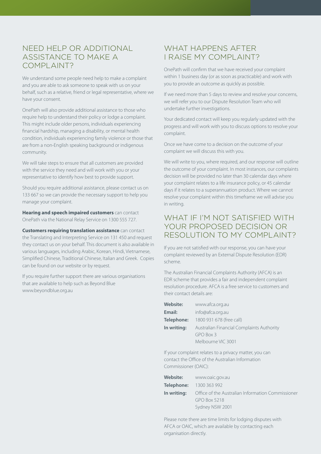# NEED HELP OR ADDITIONAL ASSISTANCE TO MAKE A COMPLAINT?

We understand some people need help to make a complaint and you are able to ask someone to speak with us on your behalf, such as a relative, friend or legal representative, where we have your consent.

OnePath will also provide additional assistance to those who require help to understand their policy or lodge a complaint. This might include older persons, individuals experiencing financial hardship, managing a disability, or mental health condition, individuals experiencing family violence or those that are from a non-English speaking background or indigenous community.

We will take steps to ensure that all customers are provided with the service they need and will work with you or your representative to identify how best to provide support.

Should you require additional assistance, please contact us on 133 667 so we can provide the necessary support to help you manage your complaint.

**Hearing and speech impaired customers** can contact OnePath via the National Relay Service on 1300 555 727.

**Customers requiring translation assistance** can contact the Translating and Interpreting Service on 131 450 and request they contact us on your behalf. This document is also available in various languages, including Arabic, Korean, Hindi, Vietnamese, Simplified Chinese, Traditional Chinese, Italian and Greek. Copies can be found on our website or by request.

If you require further support there are various organisations that are available to help such as Beyond Blue [www.beyondblue.org.au](http://www.Beyondblue.org.au)

# WHAT HAPPENS AFTER I RAISE MY COMPLAINT?

OnePath will confirm that we have received your complaint within 1 business day (or as soon as practicable) and work with you to provide an outcome as quickly as possible.

If we need more than 5 days to review and resolve your concerns, we will refer you to our Dispute Resolution Team who will undertake further investigations.

Your dedicated contact will keep you regularly updated with the progress and will work with you to discuss options to resolve your complaint.

Once we have come to a decision on the outcome of your complaint we will discuss this with you.

We will write to you, where required, and our response will outline the outcome of your complaint. In most instances, our complaints decision will be provided no later than 30 calendar days where your complaint relates to a life insurance policy, or 45 calendar days if it relates to a superannuation product. Where we cannot resolve your complaint within this timeframe we will advise you in writing.

## WHAT IF I'M NOT SATISFIED WITH YOUR PROPOSED DECISION OR RESOLUTION TO MY COMPLAINT?

If you are not satisfied with our response, you can have your complaint reviewed by an External Dispute Resolution (EDR) scheme.

The Australian Financial Complaints Authority (AFCA) is an EDR scheme that provides a fair and independent complaint resolution procedure. AFCA is a free service to customers and their contact details are:

| <b>Website:</b> | www.afca.org.au                           |
|-----------------|-------------------------------------------|
| Email:          | info@afca.org.au                          |
| Telephone:      | 1800 931 678 (free call)                  |
| In writing:     | Australian Financial Complaints Authority |
|                 | GPO Box 3                                 |
|                 | Melbourne VIC 3001                        |

If your complaint relates to a privacy matter, you can contact the Office of the Australian Information Commissioner (OAIC):

| www.oaic.gov.au                                   |
|---------------------------------------------------|
| 1300 363 992                                      |
| Office of the Australian Information Commissioner |
| <b>GPO Box 5218</b>                               |
| Sydney NSW 2001                                   |
|                                                   |

Please note there are time limits for lodging disputes with AFCA or OAIC, which are available by contacting each organisation directly.